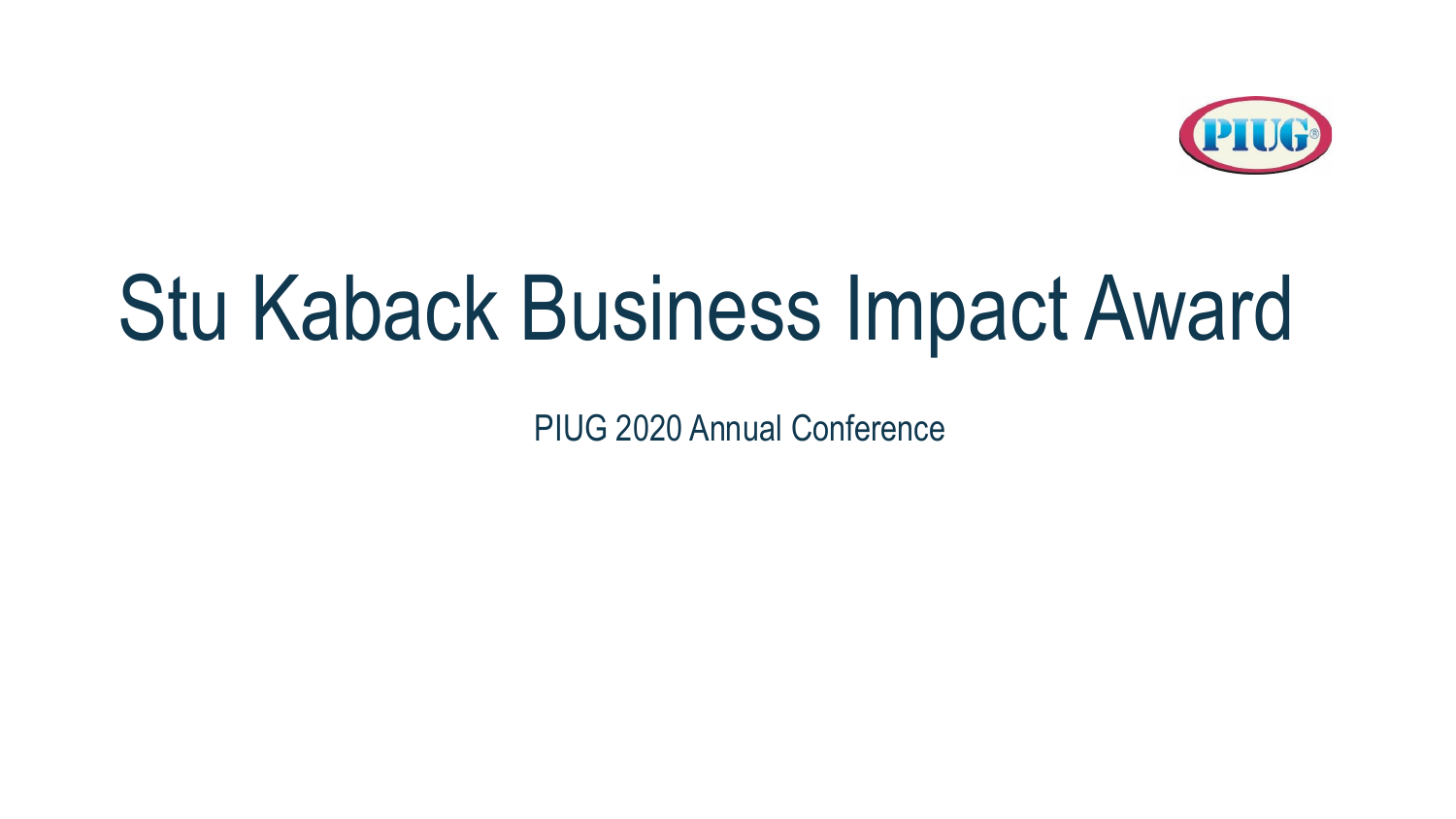

## Stu Kaback Business Impact Award

PIUG 2020 Annual Conference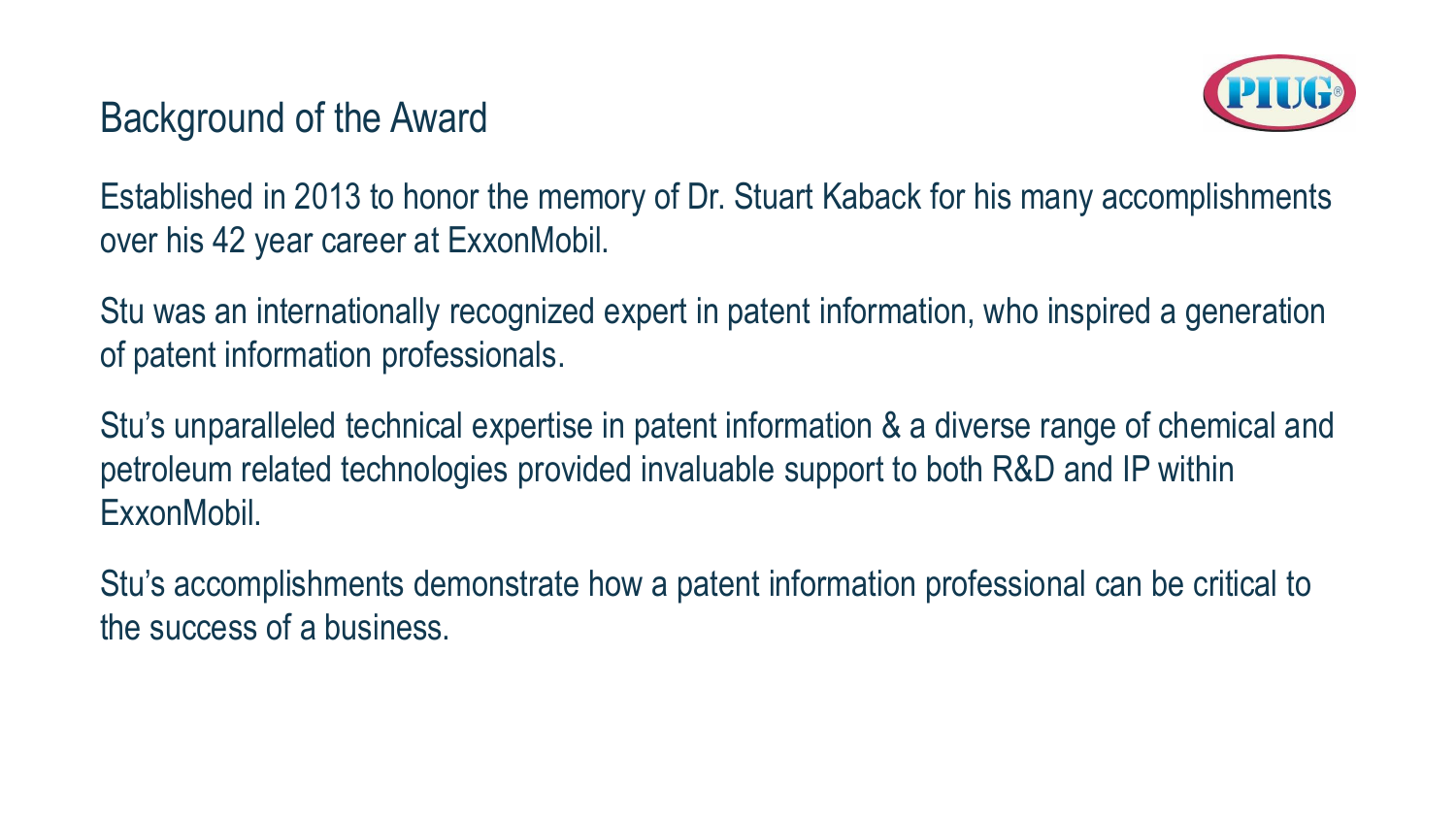#### Background of the Award



Established in 2013 to honor the memory of Dr. Stuart Kaback for his many accomplishments over his 42 year career at ExxonMobil.

Stu was an internationally recognized expert in patent information, who inspired a generation of patent information professionals.

Stu's unparalleled technical expertise in patent information & a diverse range of chemical and petroleum related technologies provided invaluable support to both R&D and IP within ExxonMobil.

Stu's accomplishments demonstrate how a patent information professional can be critical to the success of a business.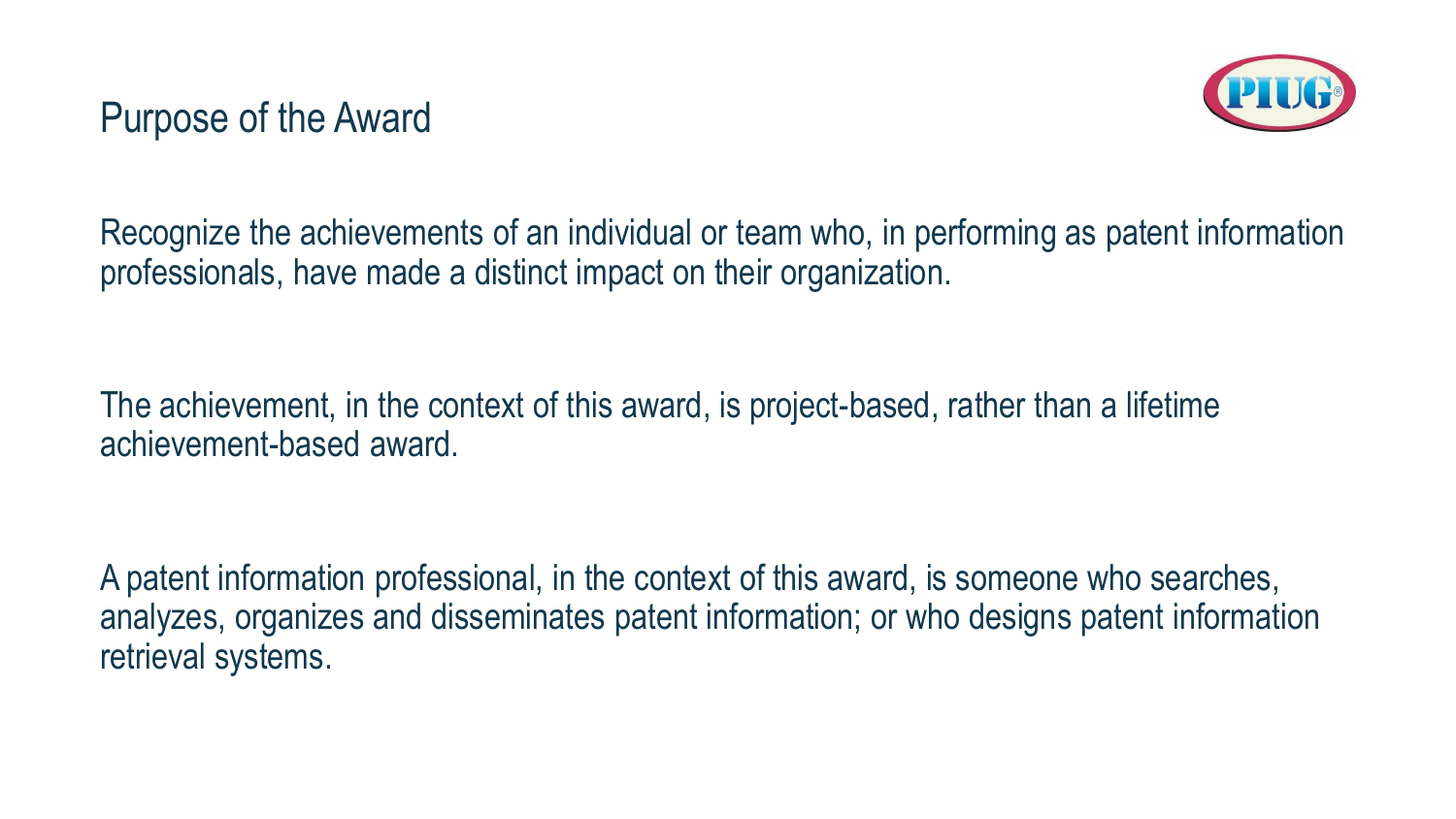

Recognize the achievements of an individual or team who, in performing as patent information professionals, have made a distinct impact on their organization.

The achievement, in the context of this award, is project-based, rather than a lifetime achievement-based award.

A patent information professional, in the context of this award, is someone who searches, analyzes, organizes and disseminates patent information; or who designs patent information retrieval systems.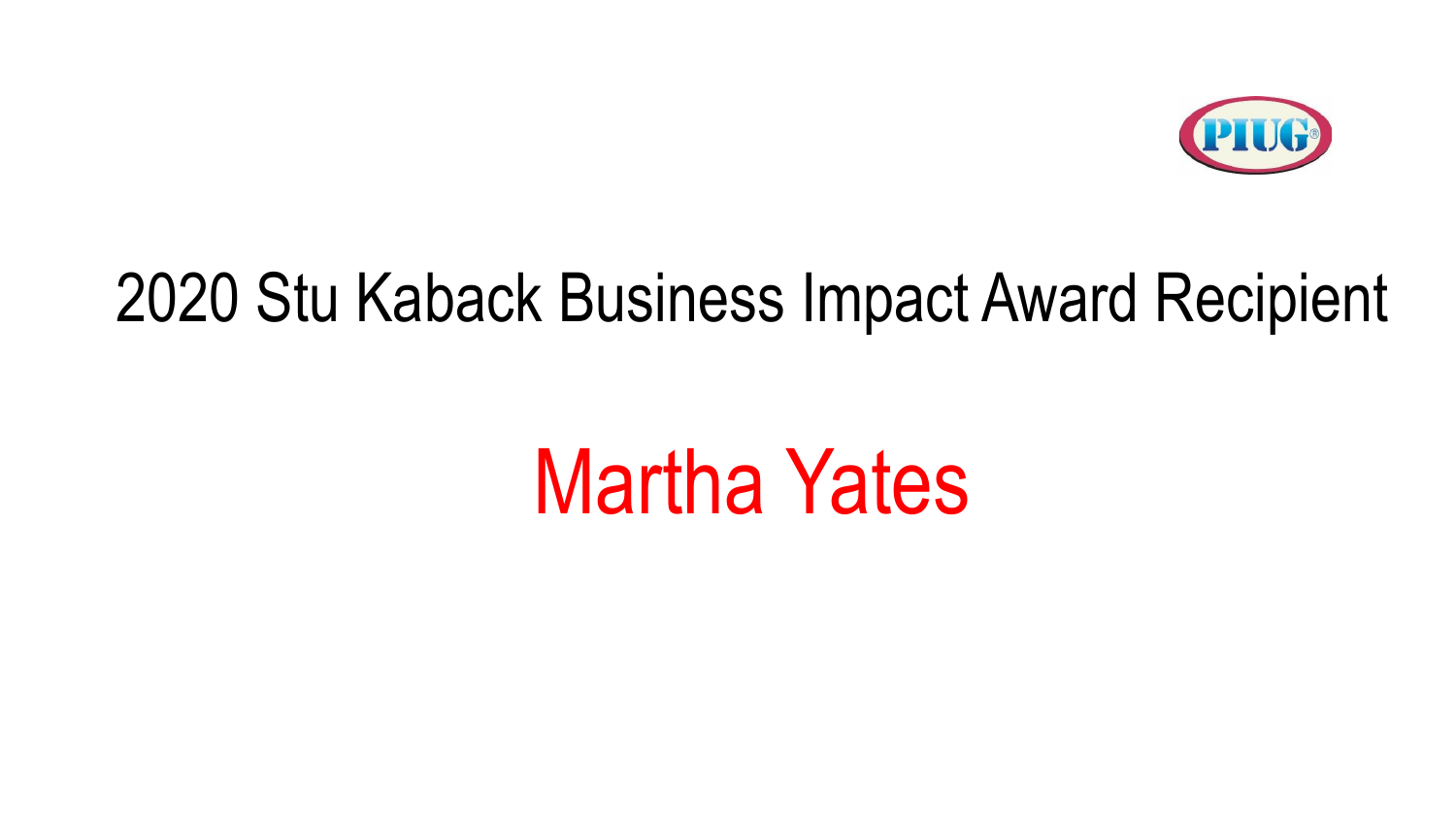

### 2020 Stu Kaback Business Impact Award Recipient

## Martha Yates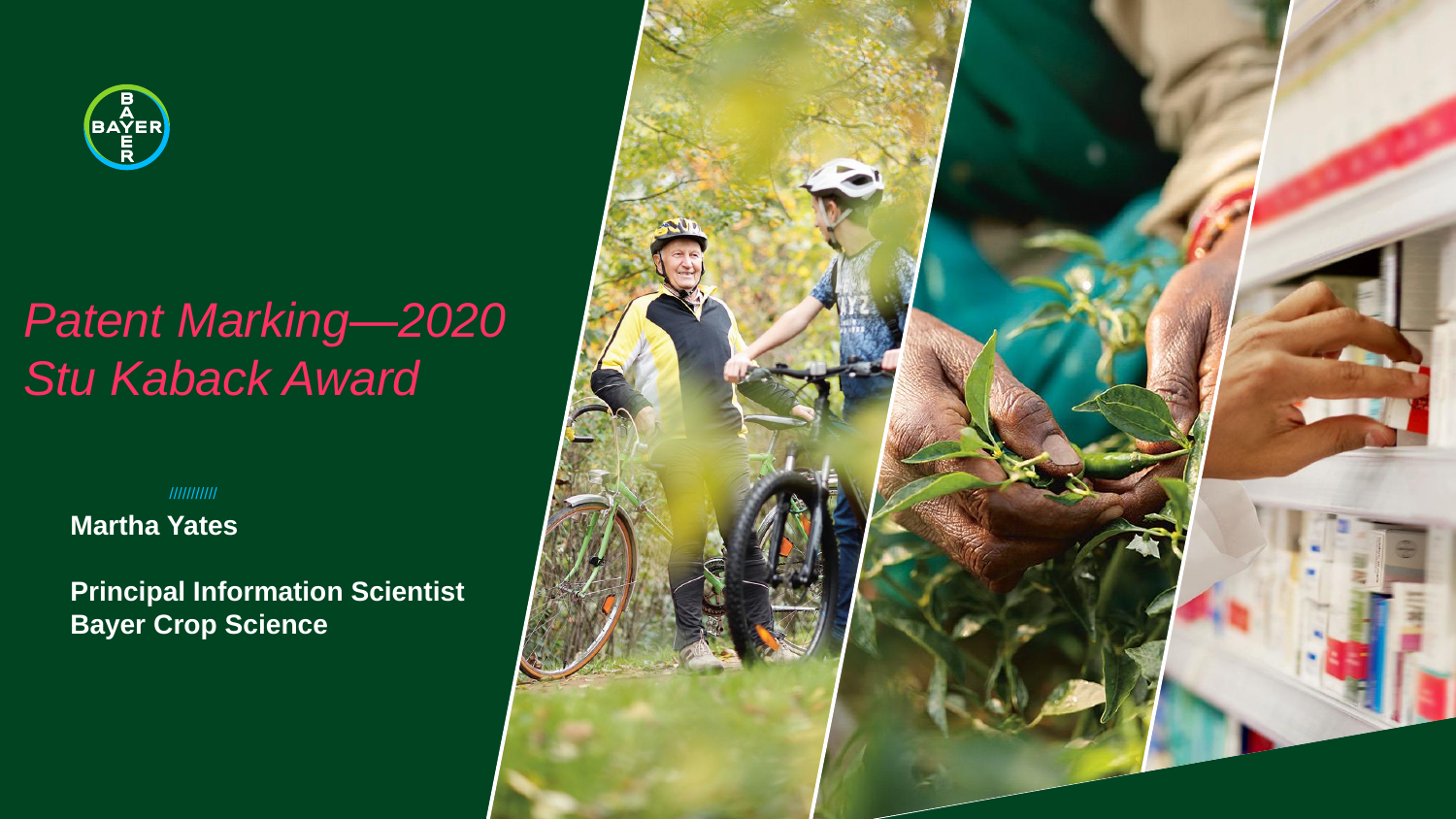

### *Patent Marking—2020 Stu Kaback Award*

///////////

**Martha Yates**

**Principal Information Scientist Bayer Crop Science**

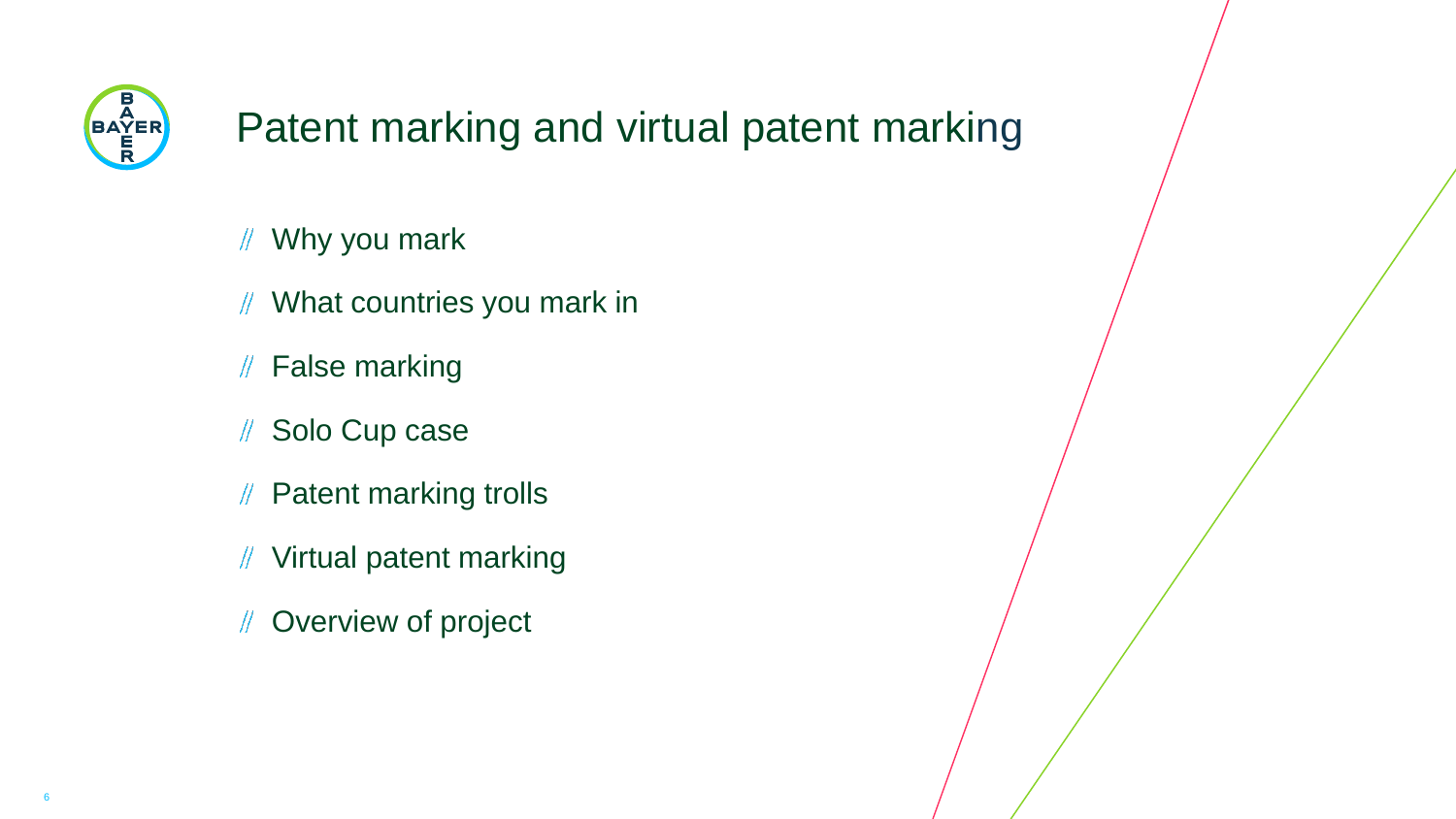

#### Patent marking and virtual patent marking

- Why you mark
- What countries you mark in  $\mathbb{N}$
- False marking
- Solo Cup case  $\mathbb{N}$
- // Patent marking trolls
- Virtual patent marking
- Overview of project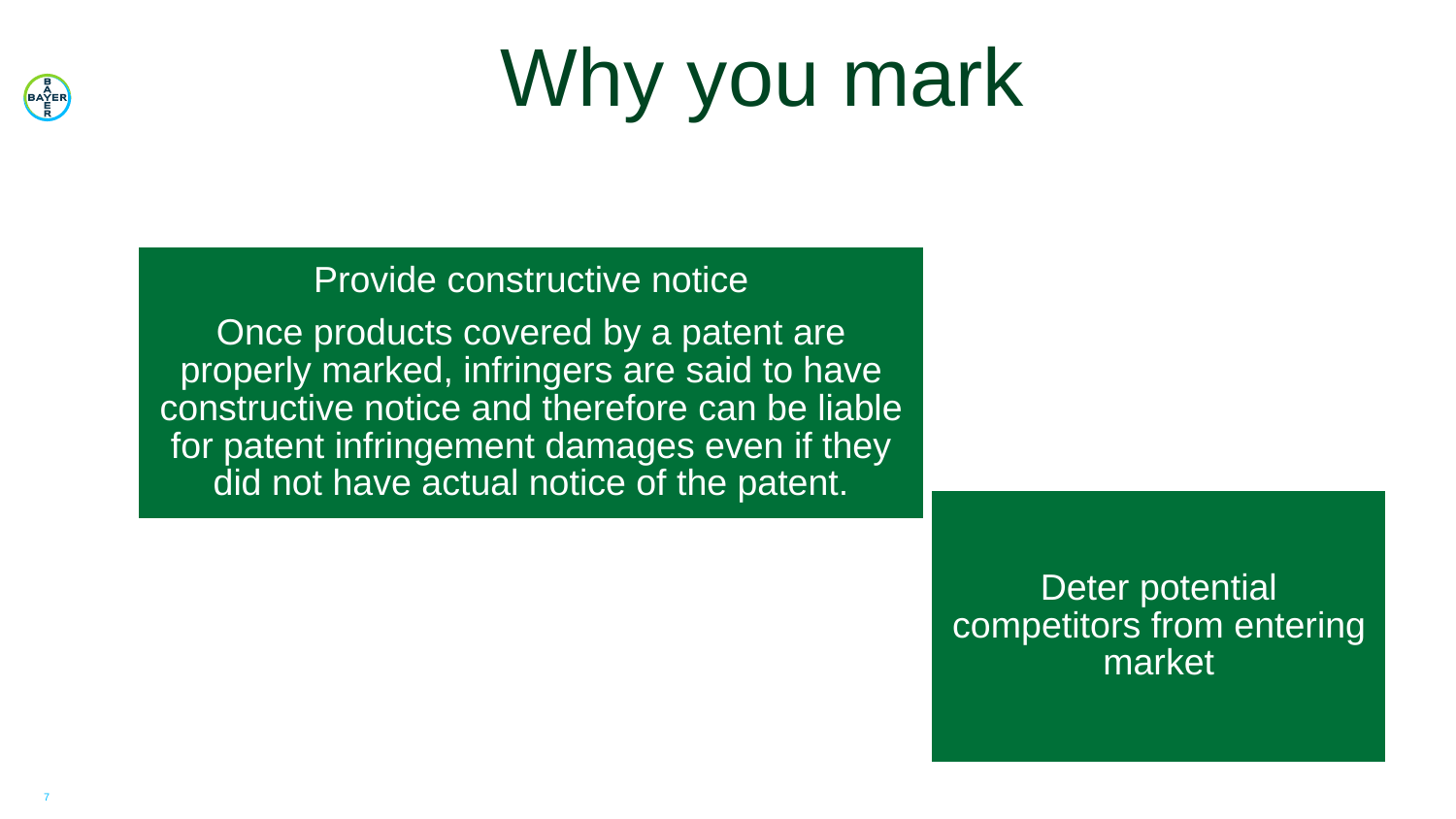

# Why you mark

#### Provide constructive notice

Once products covered by a patent are properly marked, infringers are said to have constructive notice and therefore can be liable for patent infringement damages even if they did not have actual notice of the patent.

> Deter potential competitors from entering market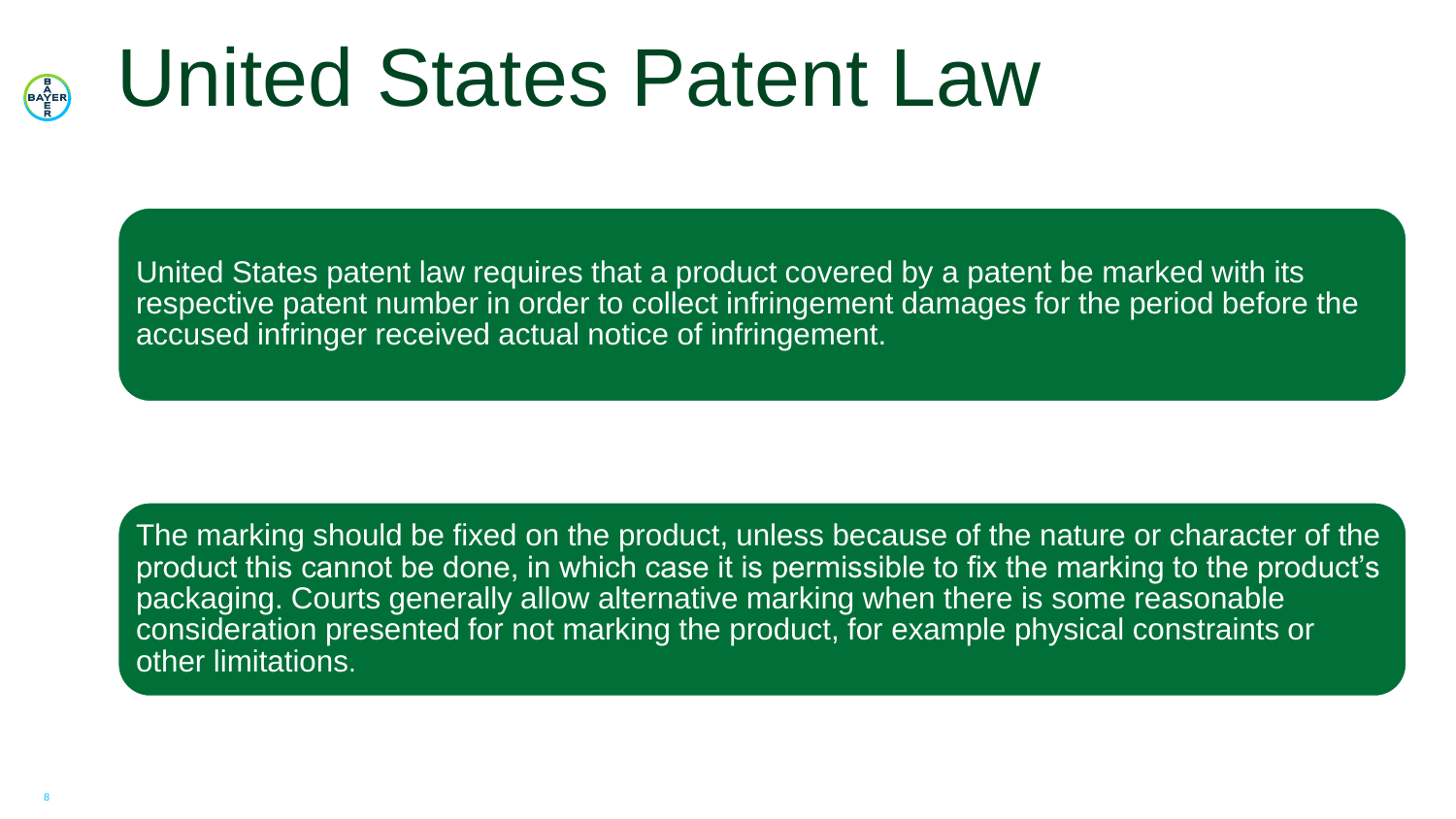#### United States Patent Law BAYER<br>BAYER

United States patent law requires that a product covered by a patent be marked with its respective patent number in order to collect infringement damages for the period before the accused infringer received actual notice of infringement.

The marking should be fixed on the product, unless because of the nature or character of the product this cannot be done, in which case it is permissible to fix the marking to the product's packaging. Courts generally allow alternative marking when there is some reasonable consideration presented for not marking the product, for example physical constraints or other limitations.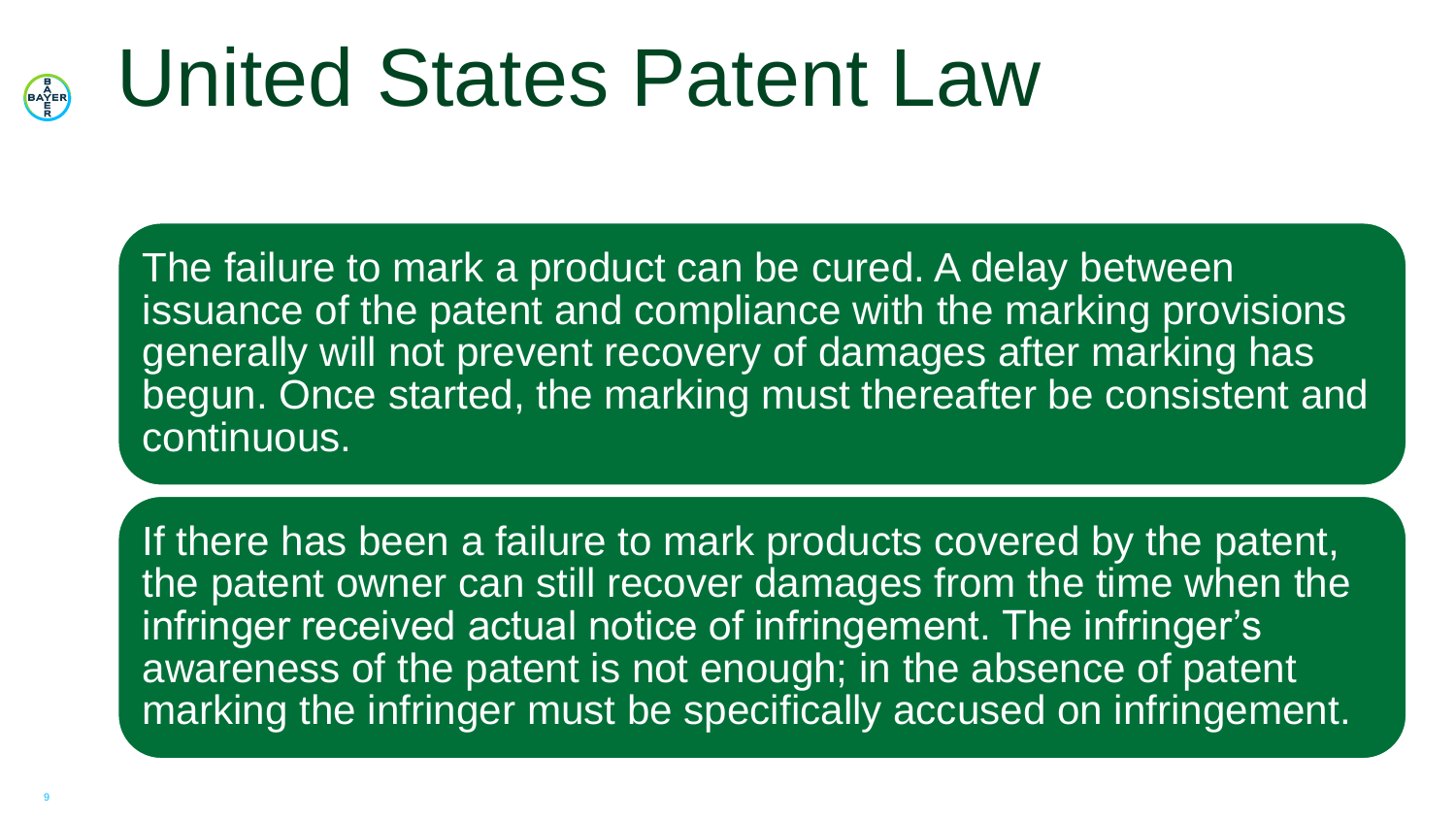#### United States Patent Law **BAYER**

The failure to mark a product can be cured. A delay between issuance of the patent and compliance with the marking provisions generally will not prevent recovery of damages after marking has begun. Once started, the marking must thereafter be consistent and continuous.

If there has been a failure to mark products covered by the patent, the patent owner can still recover damages from the time when the infringer received actual notice of infringement. The infringer's awareness of the patent is not enough; in the absence of patent marking the infringer must be specifically accused on infringement.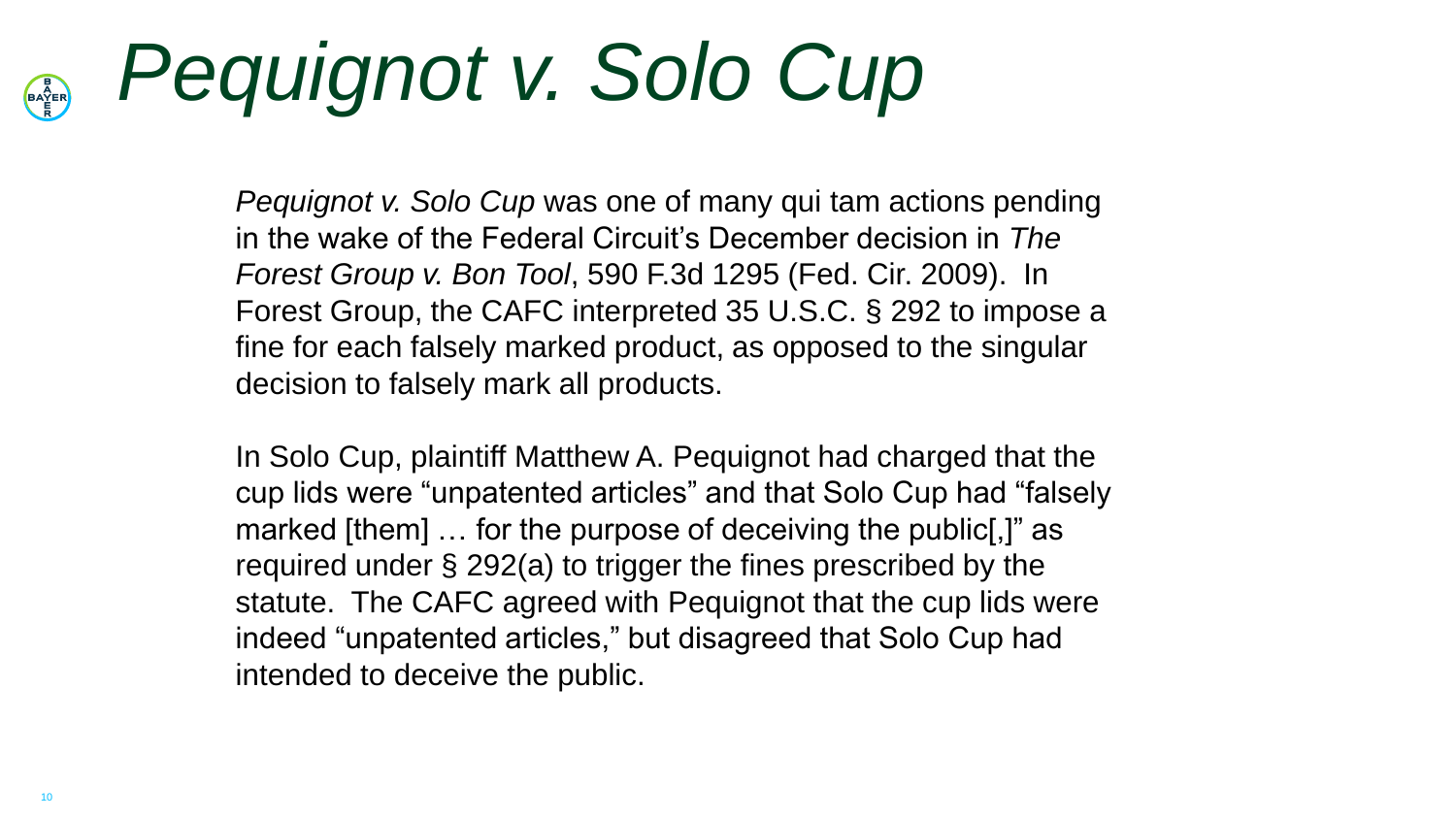#### *Pequignot v. Solo Cup* **BAYER**

*Pequignot v. Solo Cup* was one of many qui tam actions pending in the wake of the Federal Circuit's December decision in *The Forest Group v. Bon Tool*, 590 F.3d 1295 (Fed. Cir. 2009). In Forest Group, the CAFC interpreted 35 U.S.C. § 292 to impose a fine for each falsely marked product, as opposed to the singular decision to falsely mark all products.

In Solo Cup, plaintiff Matthew A. Pequignot had charged that the cup lids were "unpatented articles" and that Solo Cup had "falsely marked [them] … for the purpose of deceiving the public[,]" as required under § 292(a) to trigger the fines prescribed by the statute. The CAFC agreed with Pequignot that the cup lids were indeed "unpatented articles," but disagreed that Solo Cup had intended to deceive the public.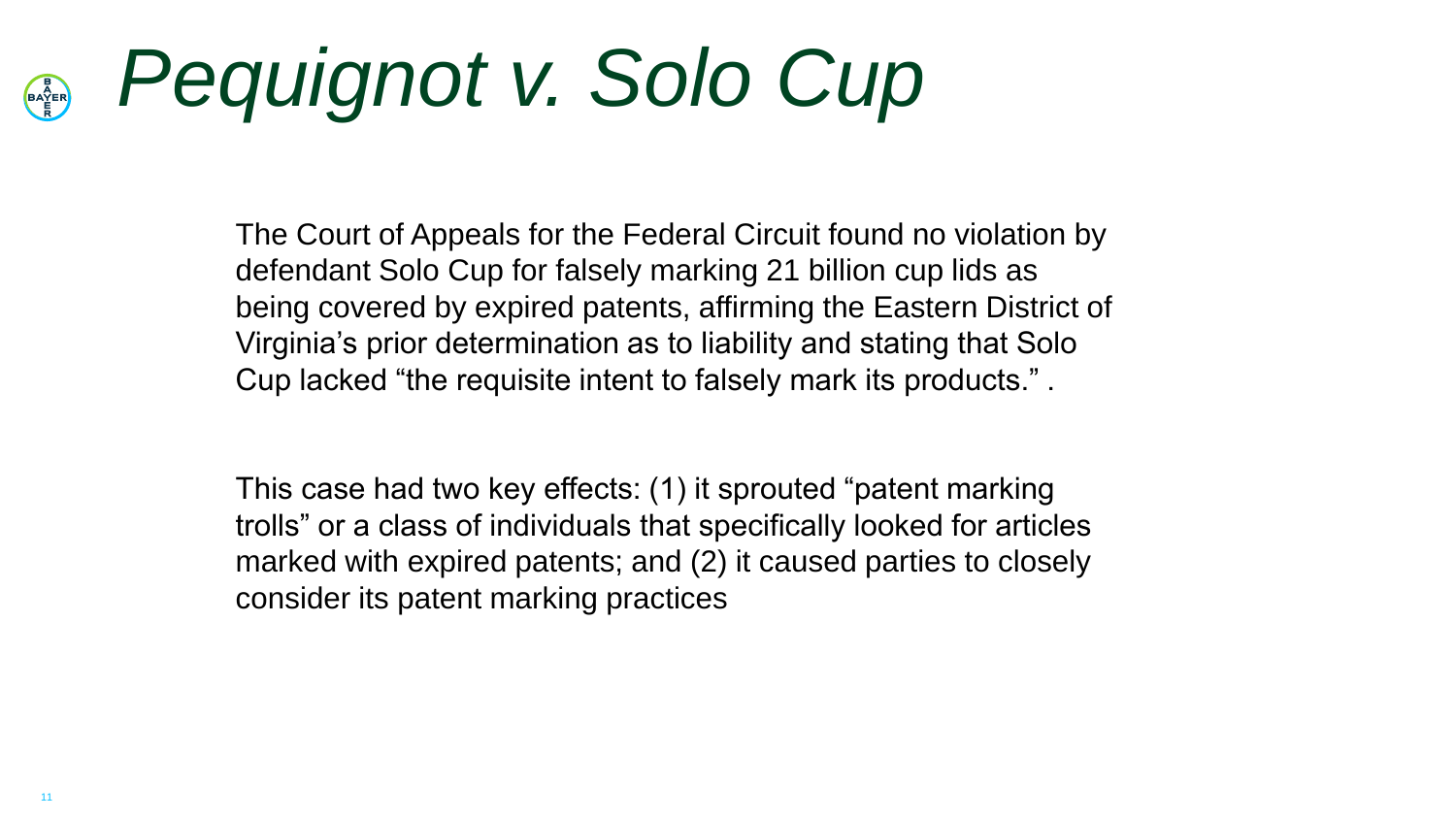#### *Pequignot v. Solo Cup* **BAYER**

The Court of Appeals for the Federal Circuit found no violation by defendant Solo Cup for falsely marking 21 billion cup lids as being covered by expired patents, affirming the Eastern District of Virginia's prior determination as to liability and stating that Solo Cup lacked "the requisite intent to falsely mark its products." .

This case had two key effects: (1) it sprouted "patent marking trolls" or a class of individuals that specifically looked for articles marked with expired patents; and (2) it caused parties to closely consider its patent marking practices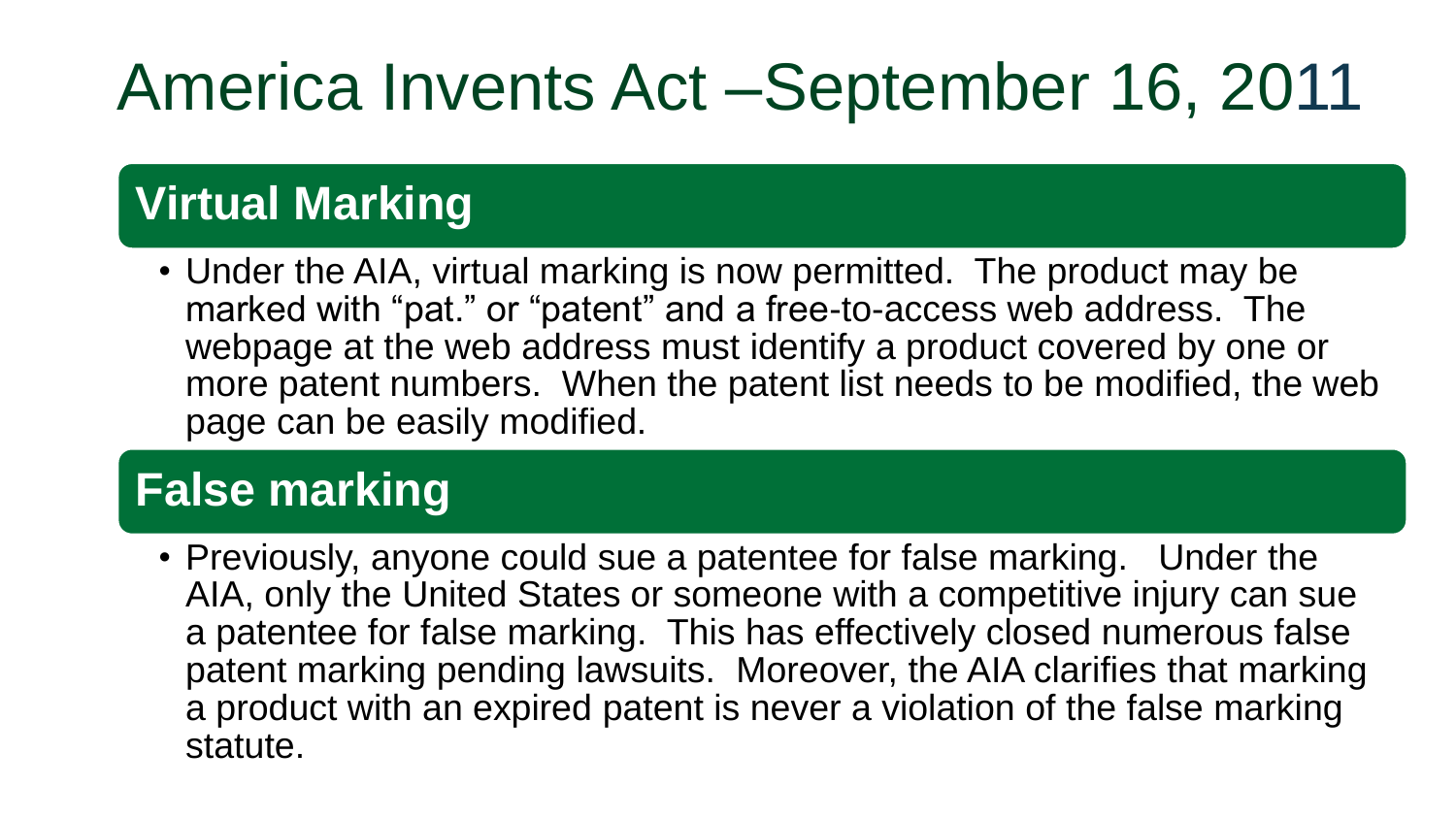### America Invents Act –September 16, 2011

### **Virtual Marking**

• Under the AIA, virtual marking is now permitted. The product may be marked with "pat." or "patent" and a free-to-access web address. The webpage at the web address must identify a product covered by one or more patent numbers. When the patent list needs to be modified, the web page can be easily modified.

#### **False marking**

• Previously, anyone could sue a patentee for false marking. Under the AIA, only the United States or someone with a competitive injury can sue a patentee for false marking. This has effectively closed numerous false patent marking pending lawsuits. Moreover, the AIA clarifies that marking a product with an expired patent is never a violation of the false marking statute.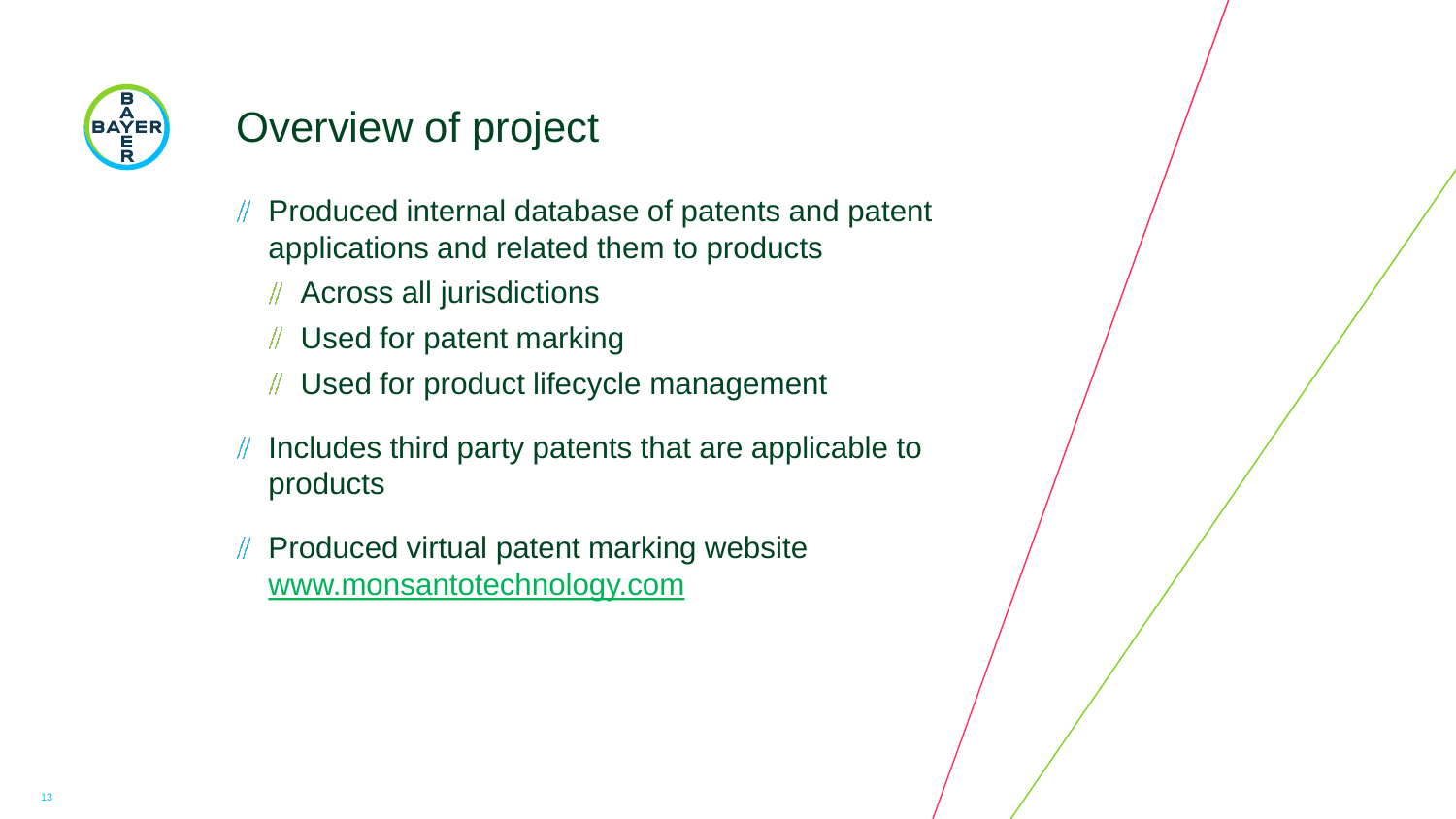

#### Overview of project

- Produced internal database of patents and patent applications and related them to products
	- Across all jurisdictions
	- Used for patent marking
	- Used for product lifecycle management
- Includes third party patents that are applicable to products
- Produced virtual patent marking website [www.monsantotechnology.com](http://www.monsantotechnology.com/)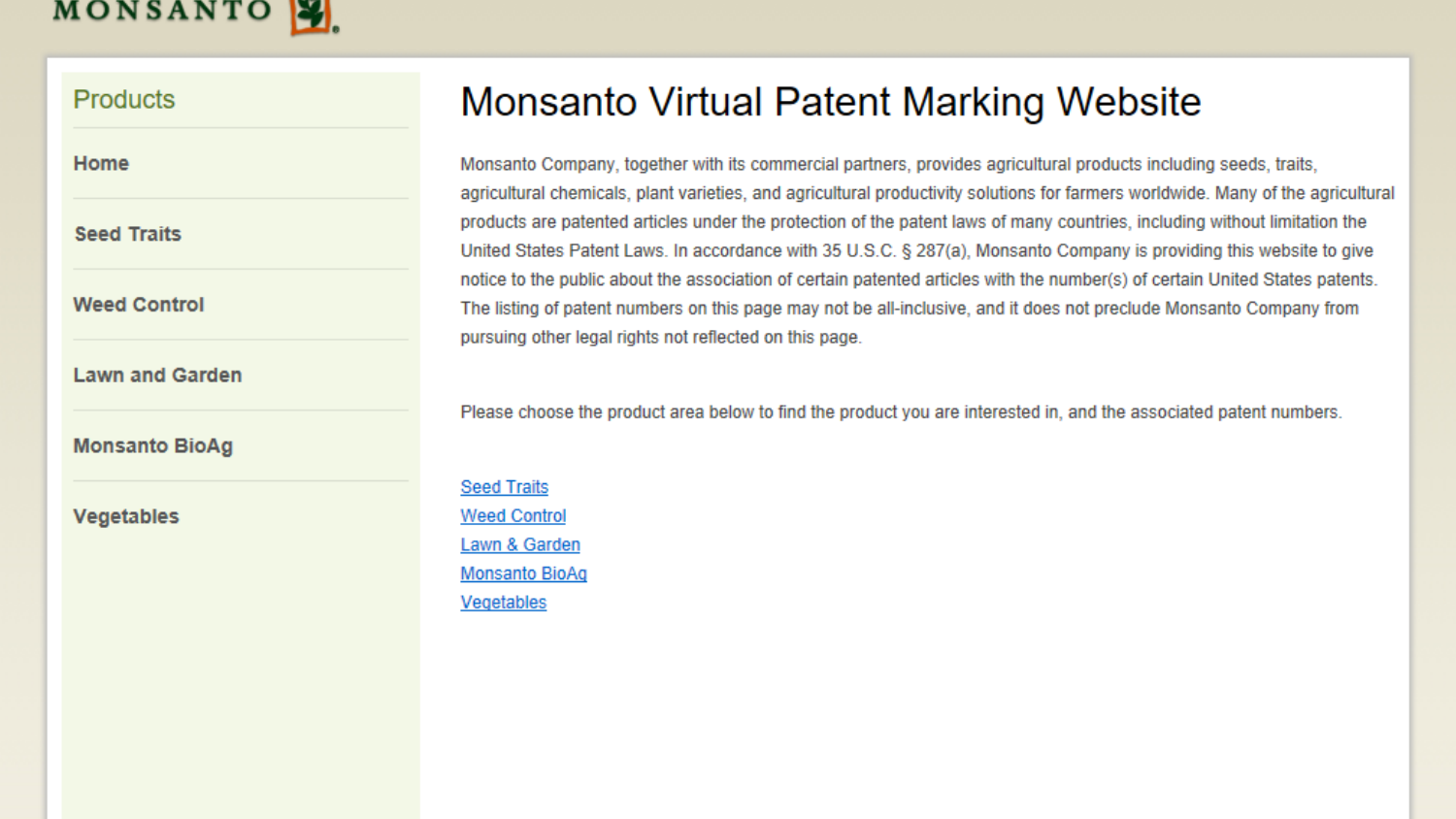#### MONSANTO

#### **Products**

| . . |          |  |
|-----|----------|--|
|     | ________ |  |

**Seed Traits** 

**Weed Control** 

**Lawn and Garden** 

**Monsanto BioAg** 

**Vegetables** 

#### **Monsanto Virtual Patent Marking Website**

Monsanto Company, together with its commercial partners, provides agricultural products including seeds, traits, agricultural chemicals, plant varieties, and agricultural productivity solutions for farmers worldwide. Many of the agricultural products are patented articles under the protection of the patent laws of many countries, including without limitation the United States Patent Laws. In accordance with 35 U.S.C. § 287(a), Monsanto Company is providing this website to give notice to the public about the association of certain patented articles with the number(s) of certain United States patents. The listing of patent numbers on this page may not be all-inclusive, and it does not preclude Monsanto Company from pursuing other legal rights not reflected on this page.

Please choose the product area below to find the product you are interested in, and the associated patent numbers.

**Seed Traits Weed Control** Lawn & Garden **Monsanto BioAq** Vegetables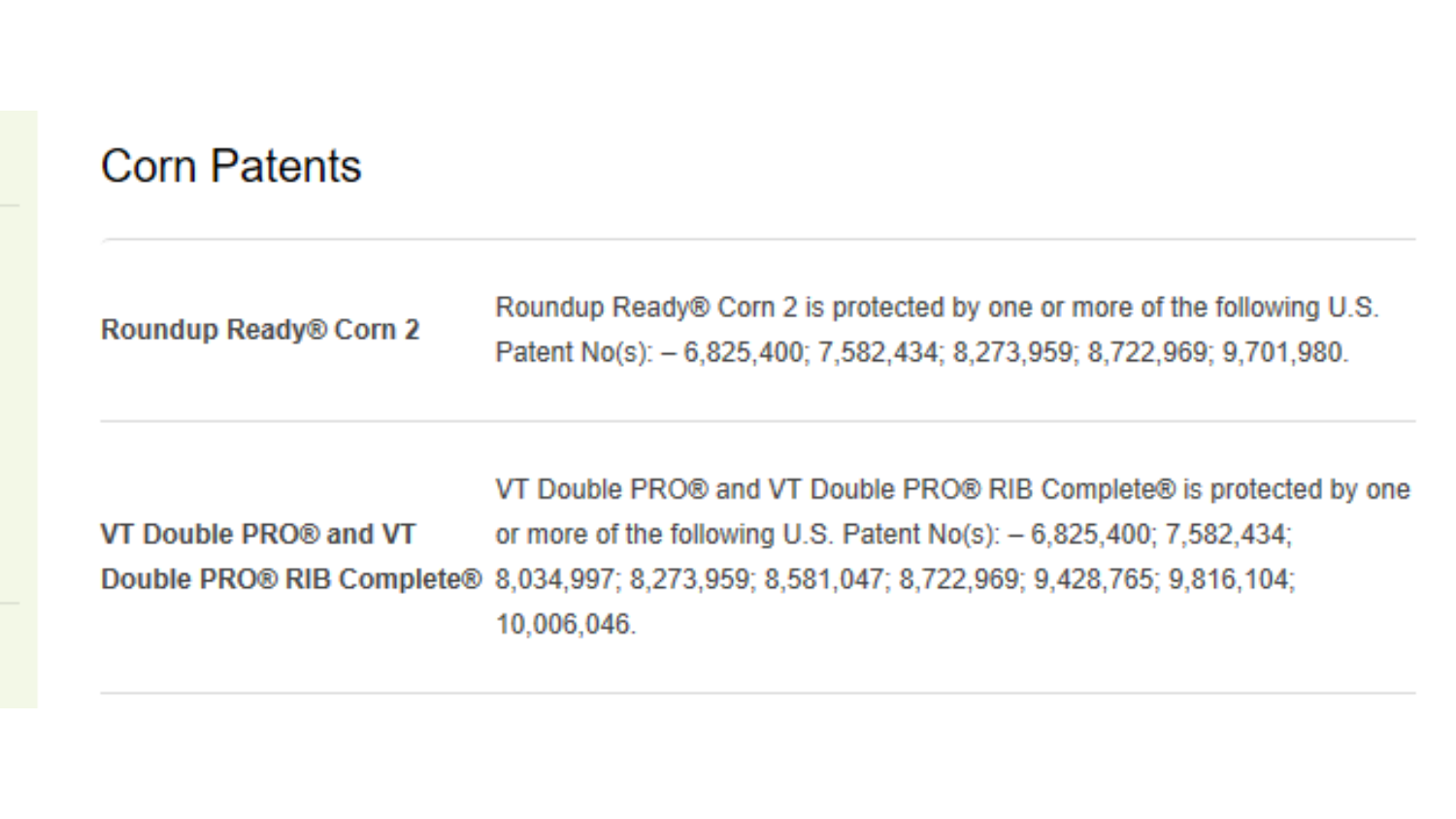#### **Corn Patents**

Roundup Ready® Corn 2

Roundup Ready® Corn 2 is protected by one or more of the following U.S. Patent No(s): - 6,825,400; 7,582,434; 8,273,959; 8,722,969; 9,701,980.

VT Double PRO® and VT Double PRO® RIB Complete® is protected by one VT Double PRO® and VT or more of the following U.S. Patent No(s):  $-6,825,400$ ; 7,582,434; Double PRO® RIB Complete® 8,034,997; 8,273,959; 8,581,047; 8,722,969; 9,428,765; 9,816,104; 10,006,046.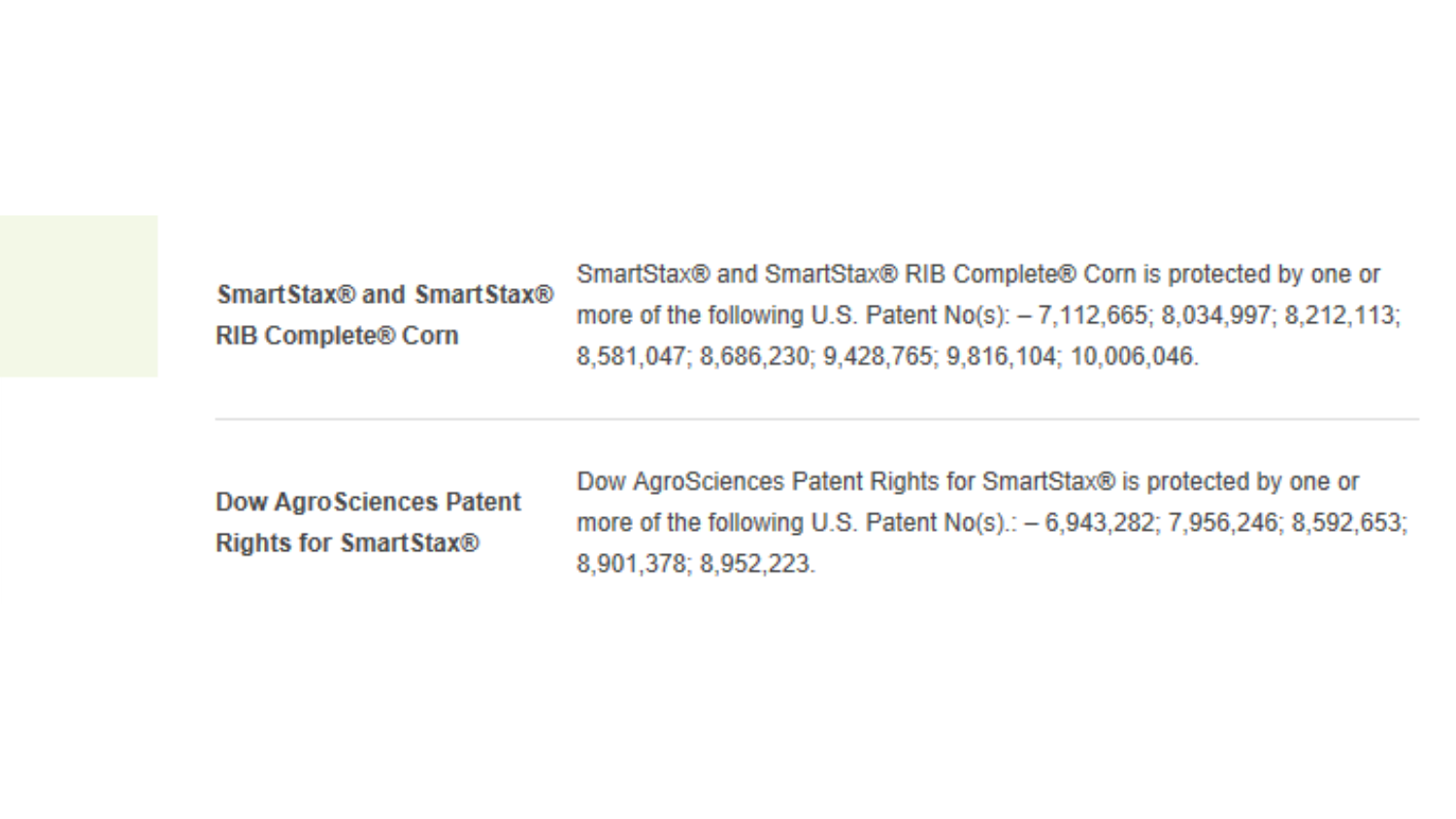| Smart Stax® and Smart Stax® |  |  |  |
|-----------------------------|--|--|--|
| <b>RIB Complete® Corn</b>   |  |  |  |

SmartStax® and SmartStax® RIB Complete® Corn is protected by one or more of the following U.S. Patent No(s):  $-7,112,665$ ; 8,034,997; 8,212,113; 8,581,047; 8,686,230; 9,428,765; 9,816,104; 10,006,046.

**Dow AgroSciences Patent Rights for SmartStax®** 

Dow AgroSciences Patent Rights for SmartStax® is protected by one or more of the following U.S. Patent No(s).: - 6,943,282; 7,956,246; 8,592,653; 8,901,378; 8,952,223.